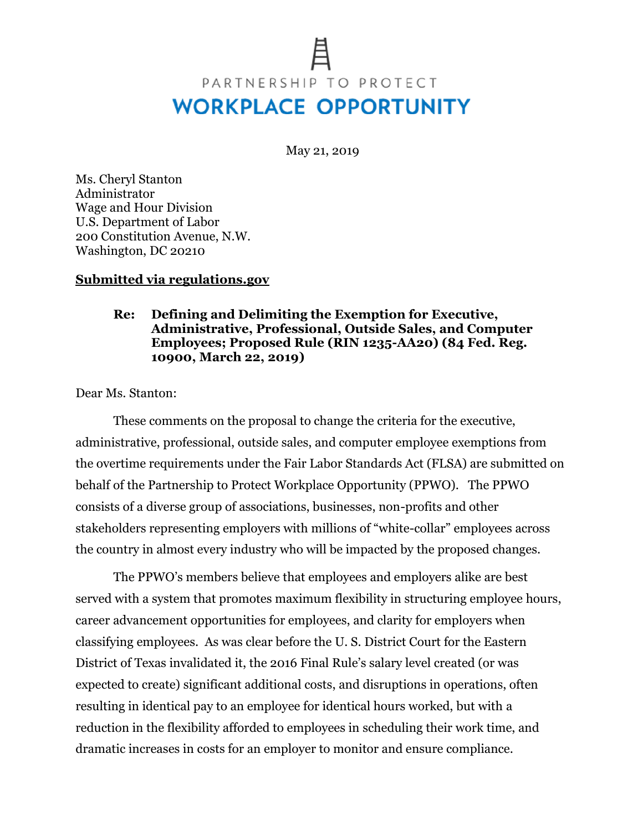# PARTNERSHIP TO PROTECT **WORKPLACE OPPORTUNITY**

May 21, 2019

Ms. Cheryl Stanton Administrator Wage and Hour Division U.S. Department of Labor 200 Constitution Avenue, N.W. Washington, DC 20210

#### **Submitted via regulations.gov**

#### **Re: Defining and Delimiting the Exemption for Executive, Administrative, Professional, Outside Sales, and Computer Employees; Proposed Rule (RIN 1235-AA20) (84 Fed. Reg. 10900, March 22, 2019)**

Dear Ms. Stanton:

These comments on the proposal to change the criteria for the executive, administrative, professional, outside sales, and computer employee exemptions from the overtime requirements under the Fair Labor Standards Act (FLSA) are submitted on behalf of the Partnership to Protect Workplace Opportunity (PPWO). The PPWO consists of a diverse group of associations, businesses, non-profits and other stakeholders representing employers with millions of "white-collar" employees across the country in almost every industry who will be impacted by the proposed changes.

The PPWO's members believe that employees and employers alike are best served with a system that promotes maximum flexibility in structuring employee hours, career advancement opportunities for employees, and clarity for employers when classifying employees. As was clear before the U. S. District Court for the Eastern District of Texas invalidated it, the 2016 Final Rule's salary level created (or was expected to create) significant additional costs, and disruptions in operations, often resulting in identical pay to an employee for identical hours worked, but with a reduction in the flexibility afforded to employees in scheduling their work time, and dramatic increases in costs for an employer to monitor and ensure compliance.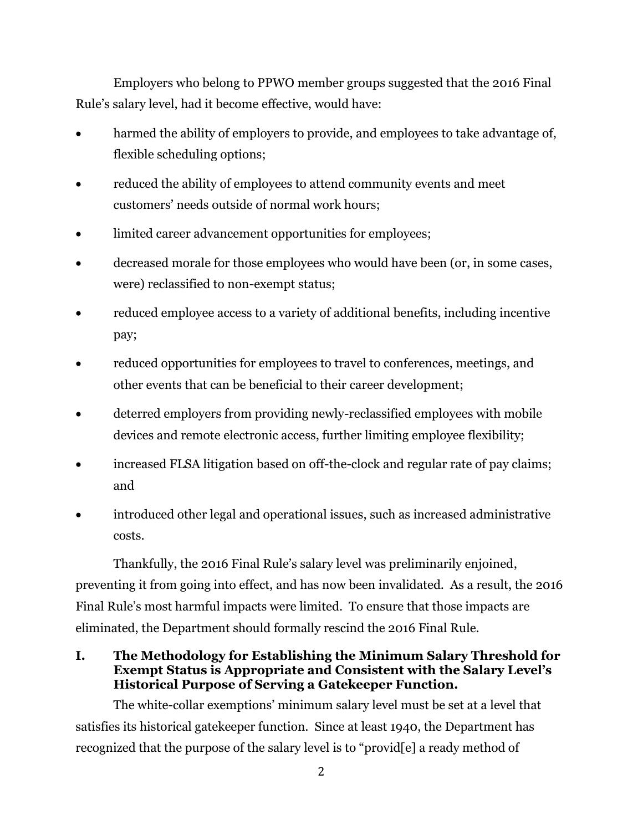Employers who belong to PPWO member groups suggested that the 2016 Final Rule's salary level, had it become effective, would have:

- harmed the ability of employers to provide, and employees to take advantage of, flexible scheduling options;
- reduced the ability of employees to attend community events and meet customers' needs outside of normal work hours;
- limited career advancement opportunities for employees;
- decreased morale for those employees who would have been (or, in some cases, were) reclassified to non-exempt status;
- reduced employee access to a variety of additional benefits, including incentive pay;
- reduced opportunities for employees to travel to conferences, meetings, and other events that can be beneficial to their career development;
- deterred employers from providing newly-reclassified employees with mobile devices and remote electronic access, further limiting employee flexibility;
- increased FLSA litigation based on off-the-clock and regular rate of pay claims; and
- introduced other legal and operational issues, such as increased administrative costs.

Thankfully, the 2016 Final Rule's salary level was preliminarily enjoined, preventing it from going into effect, and has now been invalidated. As a result, the 2016 Final Rule's most harmful impacts were limited. To ensure that those impacts are eliminated, the Department should formally rescind the 2016 Final Rule.

**I. The Methodology for Establishing the Minimum Salary Threshold for Exempt Status is Appropriate and Consistent with the Salary Level's Historical Purpose of Serving a Gatekeeper Function.**

The white-collar exemptions' minimum salary level must be set at a level that satisfies its historical gatekeeper function. Since at least 1940, the Department has recognized that the purpose of the salary level is to "provid[e] a ready method of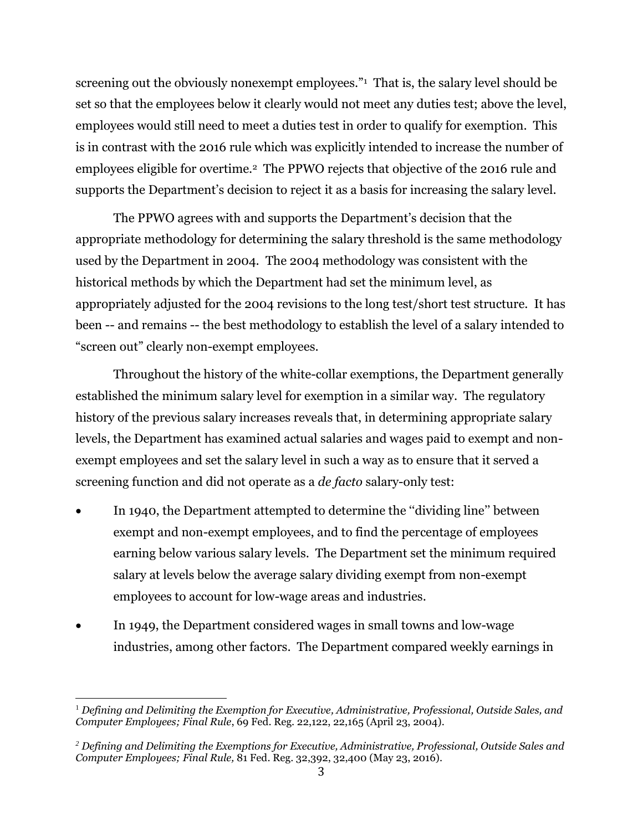screening out the obviously nonexempt employees."<sup>1</sup> That is, the salary level should be set so that the employees below it clearly would not meet any duties test; above the level, employees would still need to meet a duties test in order to qualify for exemption. This is in contrast with the 2016 rule which was explicitly intended to increase the number of employees eligible for overtime.2 The PPWO rejects that objective of the 2016 rule and supports the Department's decision to reject it as a basis for increasing the salary level.

The PPWO agrees with and supports the Department's decision that the appropriate methodology for determining the salary threshold is the same methodology used by the Department in 2004. The 2004 methodology was consistent with the historical methods by which the Department had set the minimum level, as appropriately adjusted for the 2004 revisions to the long test/short test structure. It has been -- and remains -- the best methodology to establish the level of a salary intended to "screen out" clearly non-exempt employees.

Throughout the history of the white-collar exemptions, the Department generally established the minimum salary level for exemption in a similar way. The regulatory history of the previous salary increases reveals that, in determining appropriate salary levels, the Department has examined actual salaries and wages paid to exempt and nonexempt employees and set the salary level in such a way as to ensure that it served a screening function and did not operate as a *de facto* salary-only test:

- In 1940, the Department attempted to determine the "dividing line" between exempt and non-exempt employees, and to find the percentage of employees earning below various salary levels. The Department set the minimum required salary at levels below the average salary dividing exempt from non-exempt employees to account for low-wage areas and industries.
- In 1949, the Department considered wages in small towns and low-wage industries, among other factors. The Department compared weekly earnings in

l

<sup>1</sup> *Defining and Delimiting the Exemption for Executive, Administrative, Professional, Outside Sales, and Computer Employees; Final Rule*, 69 Fed. Reg. 22,122, 22,165 (April 23, 2004).

*<sup>2</sup> Defining and Delimiting the Exemptions for Executive, Administrative, Professional, Outside Sales and Computer Employees; Final Rule,* 81 Fed. Reg. 32,392, 32,400 (May 23, 2016).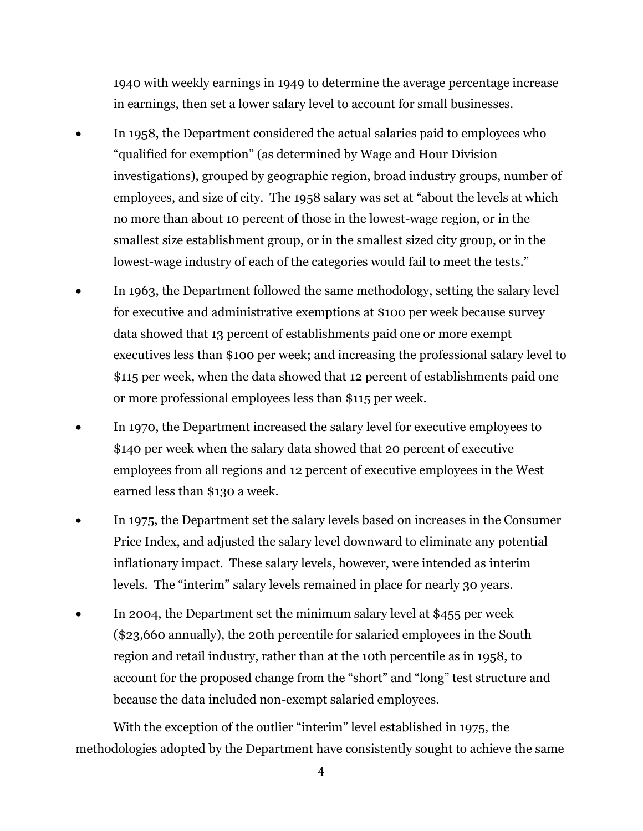1940 with weekly earnings in 1949 to determine the average percentage increase in earnings, then set a lower salary level to account for small businesses.

- In 1958, the Department considered the actual salaries paid to employees who "qualified for exemption" (as determined by Wage and Hour Division investigations), grouped by geographic region, broad industry groups, number of employees, and size of city. The 1958 salary was set at "about the levels at which no more than about 10 percent of those in the lowest-wage region, or in the smallest size establishment group, or in the smallest sized city group, or in the lowest-wage industry of each of the categories would fail to meet the tests."
- In 1963, the Department followed the same methodology, setting the salary level for executive and administrative exemptions at \$100 per week because survey data showed that 13 percent of establishments paid one or more exempt executives less than \$100 per week; and increasing the professional salary level to \$115 per week, when the data showed that 12 percent of establishments paid one or more professional employees less than \$115 per week.
- In 1970, the Department increased the salary level for executive employees to \$140 per week when the salary data showed that 20 percent of executive employees from all regions and 12 percent of executive employees in the West earned less than \$130 a week.
- In 1975, the Department set the salary levels based on increases in the Consumer Price Index, and adjusted the salary level downward to eliminate any potential inflationary impact. These salary levels, however, were intended as interim levels. The "interim" salary levels remained in place for nearly 30 years.
- In 2004, the Department set the minimum salary level at \$455 per week (\$23,660 annually), the 20th percentile for salaried employees in the South region and retail industry, rather than at the 10th percentile as in 1958, to account for the proposed change from the "short" and "long" test structure and because the data included non-exempt salaried employees.

With the exception of the outlier "interim" level established in 1975, the methodologies adopted by the Department have consistently sought to achieve the same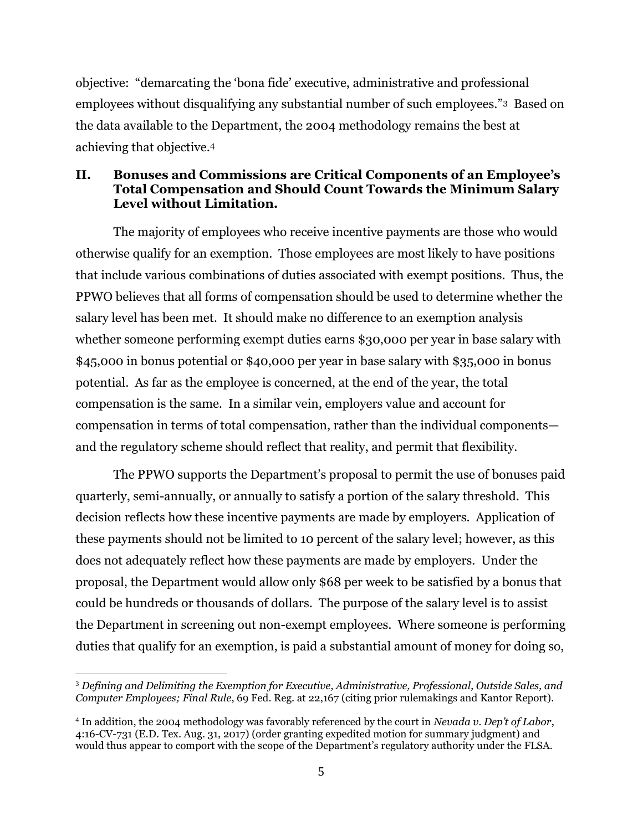objective: "demarcating the 'bona fide' executive, administrative and professional employees without disqualifying any substantial number of such employees."3 Based on the data available to the Department, the 2004 methodology remains the best at achieving that objective.<sup>4</sup>

### **II. Bonuses and Commissions are Critical Components of an Employee's Total Compensation and Should Count Towards the Minimum Salary Level without Limitation.**

The majority of employees who receive incentive payments are those who would otherwise qualify for an exemption. Those employees are most likely to have positions that include various combinations of duties associated with exempt positions. Thus, the PPWO believes that all forms of compensation should be used to determine whether the salary level has been met. It should make no difference to an exemption analysis whether someone performing exempt duties earns \$30,000 per year in base salary with \$45,000 in bonus potential or \$40,000 per year in base salary with \$35,000 in bonus potential. As far as the employee is concerned, at the end of the year, the total compensation is the same. In a similar vein, employers value and account for compensation in terms of total compensation, rather than the individual components and the regulatory scheme should reflect that reality, and permit that flexibility.

The PPWO supports the Department's proposal to permit the use of bonuses paid quarterly, semi-annually, or annually to satisfy a portion of the salary threshold. This decision reflects how these incentive payments are made by employers. Application of these payments should not be limited to 10 percent of the salary level; however, as this does not adequately reflect how these payments are made by employers. Under the proposal, the Department would allow only \$68 per week to be satisfied by a bonus that could be hundreds or thousands of dollars. The purpose of the salary level is to assist the Department in screening out non-exempt employees. Where someone is performing duties that qualify for an exemption, is paid a substantial amount of money for doing so,

 $\overline{\phantom{a}}$ <sup>3</sup> *Defining and Delimiting the Exemption for Executive, Administrative, Professional, Outside Sales, and Computer Employees; Final Rule*, 69 Fed. Reg. at 22,167 (citing prior rulemakings and Kantor Report).

<sup>4</sup> In addition, the 2004 methodology was favorably referenced by the court in *Nevada v. Dep't of Labor*, 4:16-CV-731 (E.D. Tex. Aug. 31, 2017) (order granting expedited motion for summary judgment) and would thus appear to comport with the scope of the Department's regulatory authority under the FLSA.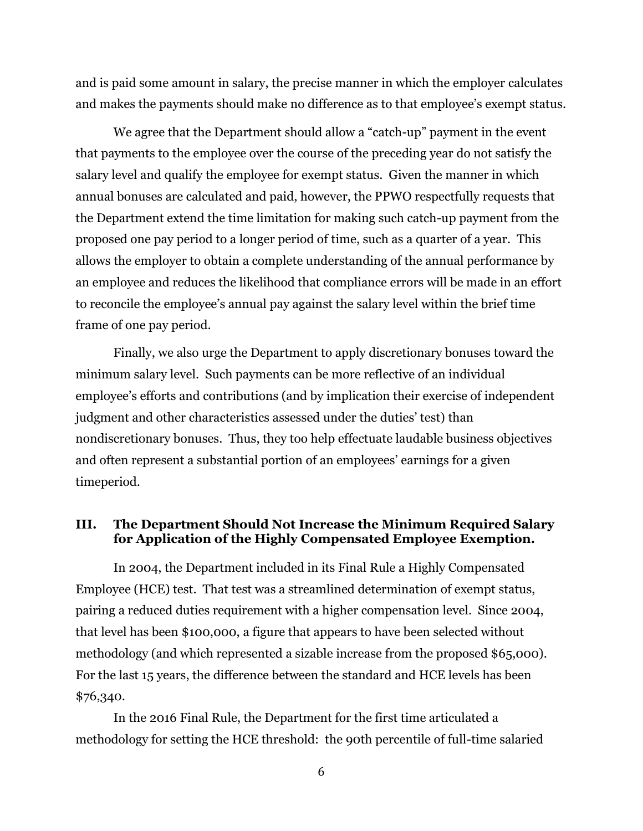and is paid some amount in salary, the precise manner in which the employer calculates and makes the payments should make no difference as to that employee's exempt status.

We agree that the Department should allow a "catch-up" payment in the event that payments to the employee over the course of the preceding year do not satisfy the salary level and qualify the employee for exempt status. Given the manner in which annual bonuses are calculated and paid, however, the PPWO respectfully requests that the Department extend the time limitation for making such catch-up payment from the proposed one pay period to a longer period of time, such as a quarter of a year. This allows the employer to obtain a complete understanding of the annual performance by an employee and reduces the likelihood that compliance errors will be made in an effort to reconcile the employee's annual pay against the salary level within the brief time frame of one pay period.

Finally, we also urge the Department to apply discretionary bonuses toward the minimum salary level. Such payments can be more reflective of an individual employee's efforts and contributions (and by implication their exercise of independent judgment and other characteristics assessed under the duties' test) than nondiscretionary bonuses. Thus, they too help effectuate laudable business objectives and often represent a substantial portion of an employees' earnings for a given timeperiod.

## **III. The Department Should Not Increase the Minimum Required Salary for Application of the Highly Compensated Employee Exemption.**

In 2004, the Department included in its Final Rule a Highly Compensated Employee (HCE) test. That test was a streamlined determination of exempt status, pairing a reduced duties requirement with a higher compensation level. Since 2004, that level has been \$100,000, a figure that appears to have been selected without methodology (and which represented a sizable increase from the proposed \$65,000). For the last 15 years, the difference between the standard and HCE levels has been \$76,340.

In the 2016 Final Rule, the Department for the first time articulated a methodology for setting the HCE threshold: the 90th percentile of full-time salaried

6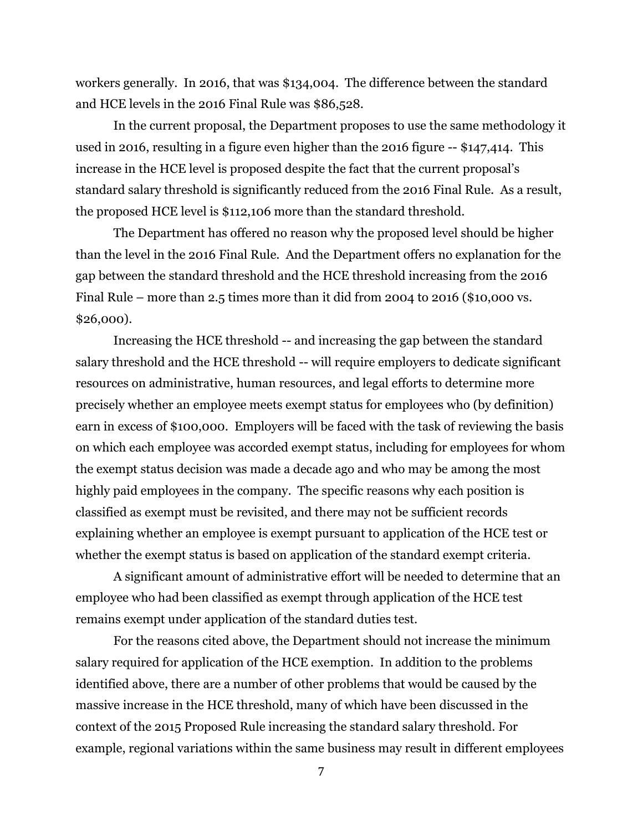workers generally. In 2016, that was \$134,004. The difference between the standard and HCE levels in the 2016 Final Rule was \$86,528.

In the current proposal, the Department proposes to use the same methodology it used in 2016, resulting in a figure even higher than the 2016 figure -- \$147,414. This increase in the HCE level is proposed despite the fact that the current proposal's standard salary threshold is significantly reduced from the 2016 Final Rule. As a result, the proposed HCE level is \$112,106 more than the standard threshold.

The Department has offered no reason why the proposed level should be higher than the level in the 2016 Final Rule. And the Department offers no explanation for the gap between the standard threshold and the HCE threshold increasing from the 2016 Final Rule – more than 2.5 times more than it did from 2004 to 2016 (\$10,000 vs. \$26,000).

Increasing the HCE threshold -- and increasing the gap between the standard salary threshold and the HCE threshold -- will require employers to dedicate significant resources on administrative, human resources, and legal efforts to determine more precisely whether an employee meets exempt status for employees who (by definition) earn in excess of \$100,000. Employers will be faced with the task of reviewing the basis on which each employee was accorded exempt status, including for employees for whom the exempt status decision was made a decade ago and who may be among the most highly paid employees in the company. The specific reasons why each position is classified as exempt must be revisited, and there may not be sufficient records explaining whether an employee is exempt pursuant to application of the HCE test or whether the exempt status is based on application of the standard exempt criteria.

A significant amount of administrative effort will be needed to determine that an employee who had been classified as exempt through application of the HCE test remains exempt under application of the standard duties test.

For the reasons cited above, the Department should not increase the minimum salary required for application of the HCE exemption. In addition to the problems identified above, there are a number of other problems that would be caused by the massive increase in the HCE threshold, many of which have been discussed in the context of the 2015 Proposed Rule increasing the standard salary threshold. For example, regional variations within the same business may result in different employees

7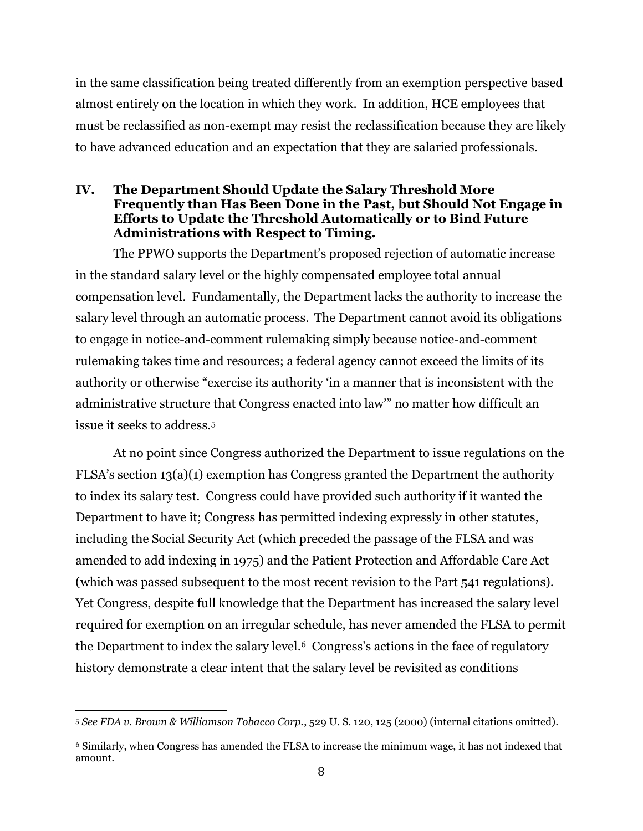in the same classification being treated differently from an exemption perspective based almost entirely on the location in which they work. In addition, HCE employees that must be reclassified as non-exempt may resist the reclassification because they are likely to have advanced education and an expectation that they are salaried professionals.

#### **IV. The Department Should Update the Salary Threshold More Frequently than Has Been Done in the Past, but Should Not Engage in Efforts to Update the Threshold Automatically or to Bind Future Administrations with Respect to Timing.**

The PPWO supports the Department's proposed rejection of automatic increase in the standard salary level or the highly compensated employee total annual compensation level. Fundamentally, the Department lacks the authority to increase the salary level through an automatic process. The Department cannot avoid its obligations to engage in notice-and-comment rulemaking simply because notice-and-comment rulemaking takes time and resources; a federal agency cannot exceed the limits of its authority or otherwise "exercise its authority 'in a manner that is inconsistent with the administrative structure that Congress enacted into law'" no matter how difficult an issue it seeks to address.<sup>5</sup>

At no point since Congress authorized the Department to issue regulations on the FLSA's section 13(a)(1) exemption has Congress granted the Department the authority to index its salary test. Congress could have provided such authority if it wanted the Department to have it; Congress has permitted indexing expressly in other statutes, including the Social Security Act (which preceded the passage of the FLSA and was amended to add indexing in 1975) and the Patient Protection and Affordable Care Act (which was passed subsequent to the most recent revision to the Part 541 regulations). Yet Congress, despite full knowledge that the Department has increased the salary level required for exemption on an irregular schedule, has never amended the FLSA to permit the Department to index the salary level. <sup>6</sup> Congress's actions in the face of regulatory history demonstrate a clear intent that the salary level be revisited as conditions

 $\overline{\phantom{a}}$ <sup>5</sup> *See FDA v. Brown & Williamson Tobacco Corp.*, 529 U. S. 120, 125 (2000) (internal citations omitted).

<sup>6</sup> Similarly, when Congress has amended the FLSA to increase the minimum wage, it has not indexed that amount.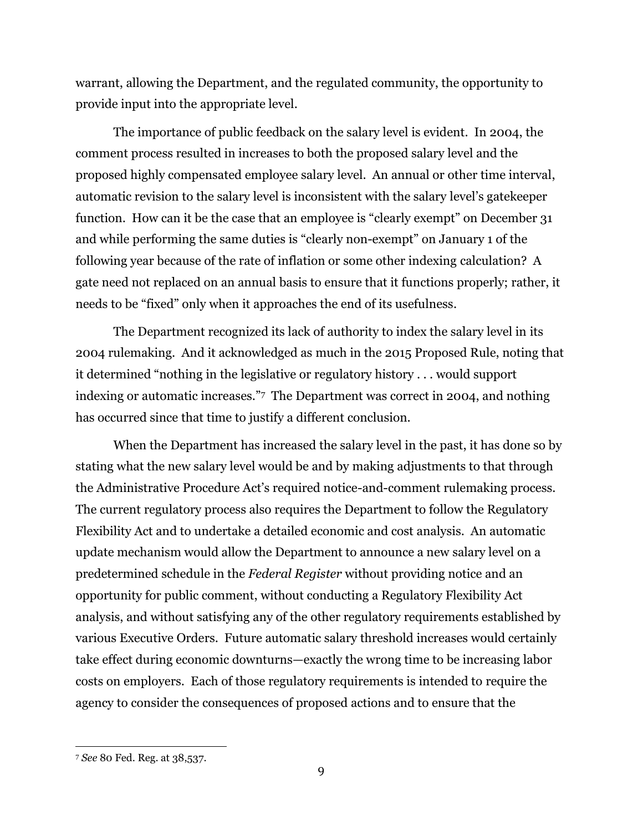warrant, allowing the Department, and the regulated community, the opportunity to provide input into the appropriate level.

The importance of public feedback on the salary level is evident. In 2004, the comment process resulted in increases to both the proposed salary level and the proposed highly compensated employee salary level. An annual or other time interval, automatic revision to the salary level is inconsistent with the salary level's gatekeeper function. How can it be the case that an employee is "clearly exempt" on December 31 and while performing the same duties is "clearly non-exempt" on January 1 of the following year because of the rate of inflation or some other indexing calculation? A gate need not replaced on an annual basis to ensure that it functions properly; rather, it needs to be "fixed" only when it approaches the end of its usefulness.

The Department recognized its lack of authority to index the salary level in its 2004 rulemaking. And it acknowledged as much in the 2015 Proposed Rule, noting that it determined "nothing in the legislative or regulatory history . . . would support indexing or automatic increases."7 The Department was correct in 2004, and nothing has occurred since that time to justify a different conclusion.

When the Department has increased the salary level in the past, it has done so by stating what the new salary level would be and by making adjustments to that through the Administrative Procedure Act's required notice-and-comment rulemaking process. The current regulatory process also requires the Department to follow the Regulatory Flexibility Act and to undertake a detailed economic and cost analysis. An automatic update mechanism would allow the Department to announce a new salary level on a predetermined schedule in the *Federal Register* without providing notice and an opportunity for public comment, without conducting a Regulatory Flexibility Act analysis, and without satisfying any of the other regulatory requirements established by various Executive Orders. Future automatic salary threshold increases would certainly take effect during economic downturns—exactly the wrong time to be increasing labor costs on employers. Each of those regulatory requirements is intended to require the agency to consider the consequences of proposed actions and to ensure that the

l

<sup>7</sup> *See* 80 Fed. Reg. at 38,537.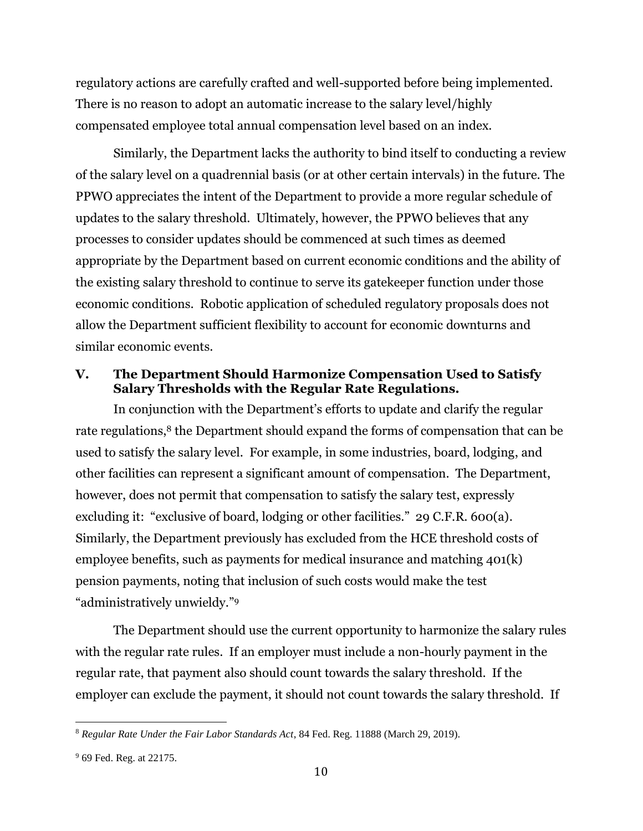regulatory actions are carefully crafted and well-supported before being implemented. There is no reason to adopt an automatic increase to the salary level/highly compensated employee total annual compensation level based on an index.

Similarly, the Department lacks the authority to bind itself to conducting a review of the salary level on a quadrennial basis (or at other certain intervals) in the future. The PPWO appreciates the intent of the Department to provide a more regular schedule of updates to the salary threshold. Ultimately, however, the PPWO believes that any processes to consider updates should be commenced at such times as deemed appropriate by the Department based on current economic conditions and the ability of the existing salary threshold to continue to serve its gatekeeper function under those economic conditions. Robotic application of scheduled regulatory proposals does not allow the Department sufficient flexibility to account for economic downturns and similar economic events.

#### **V. The Department Should Harmonize Compensation Used to Satisfy Salary Thresholds with the Regular Rate Regulations.**

In conjunction with the Department's efforts to update and clarify the regular rate regulations,<sup>8</sup> the Department should expand the forms of compensation that can be used to satisfy the salary level. For example, in some industries, board, lodging, and other facilities can represent a significant amount of compensation. The Department, however, does not permit that compensation to satisfy the salary test, expressly excluding it: "exclusive of board, lodging or other facilities." 29 C.F.R. 600(a). Similarly, the Department previously has excluded from the HCE threshold costs of employee benefits, such as payments for medical insurance and matching 401(k) pension payments, noting that inclusion of such costs would make the test "administratively unwieldy."<sup>9</sup>

The Department should use the current opportunity to harmonize the salary rules with the regular rate rules. If an employer must include a non-hourly payment in the regular rate, that payment also should count towards the salary threshold. If the employer can exclude the payment, it should not count towards the salary threshold. If

 $\overline{\phantom{a}}$ 

<sup>8</sup> *Regular Rate Under the Fair Labor Standards Act*, 84 Fed. Reg. 11888 (March 29, 2019).

<sup>9</sup> 69 Fed. Reg. at 22175.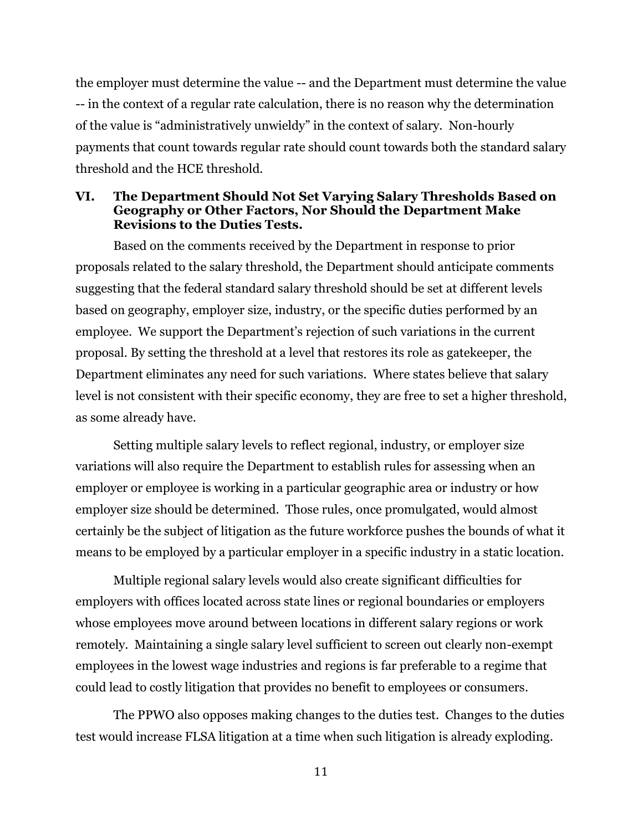the employer must determine the value -- and the Department must determine the value -- in the context of a regular rate calculation, there is no reason why the determination of the value is "administratively unwieldy" in the context of salary. Non-hourly payments that count towards regular rate should count towards both the standard salary threshold and the HCE threshold.

#### **VI. The Department Should Not Set Varying Salary Thresholds Based on Geography or Other Factors, Nor Should the Department Make Revisions to the Duties Tests.**

Based on the comments received by the Department in response to prior proposals related to the salary threshold, the Department should anticipate comments suggesting that the federal standard salary threshold should be set at different levels based on geography, employer size, industry, or the specific duties performed by an employee. We support the Department's rejection of such variations in the current proposal. By setting the threshold at a level that restores its role as gatekeeper, the Department eliminates any need for such variations. Where states believe that salary level is not consistent with their specific economy, they are free to set a higher threshold, as some already have.

Setting multiple salary levels to reflect regional, industry, or employer size variations will also require the Department to establish rules for assessing when an employer or employee is working in a particular geographic area or industry or how employer size should be determined. Those rules, once promulgated, would almost certainly be the subject of litigation as the future workforce pushes the bounds of what it means to be employed by a particular employer in a specific industry in a static location.

Multiple regional salary levels would also create significant difficulties for employers with offices located across state lines or regional boundaries or employers whose employees move around between locations in different salary regions or work remotely. Maintaining a single salary level sufficient to screen out clearly non-exempt employees in the lowest wage industries and regions is far preferable to a regime that could lead to costly litigation that provides no benefit to employees or consumers.

The PPWO also opposes making changes to the duties test. Changes to the duties test would increase FLSA litigation at a time when such litigation is already exploding.

11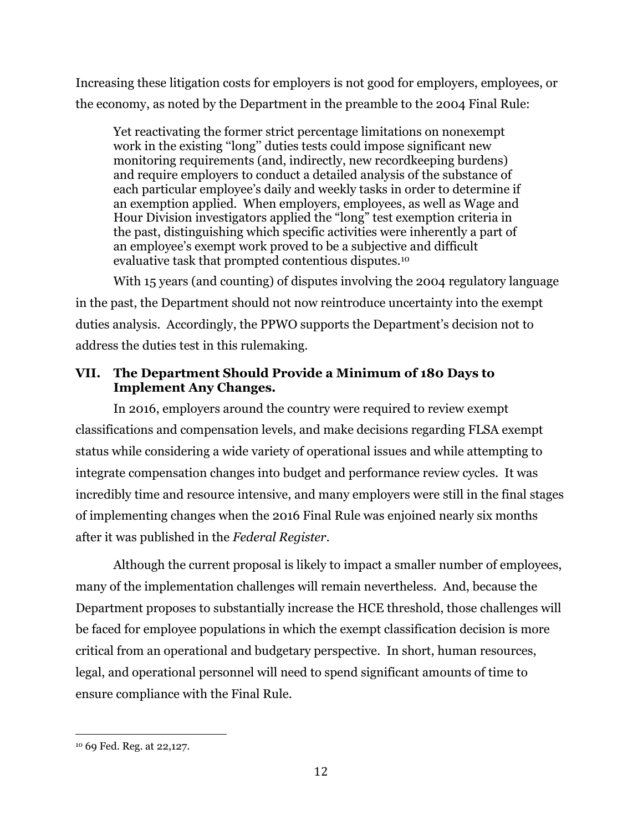Increasing these litigation costs for employers is not good for employers, employees, or the economy, as noted by the Department in the preamble to the 2004 Final Rule:

Yet reactivating the former strict percentage limitations on nonexempt work in the existing ''long'' duties tests could impose significant new monitoring requirements (and, indirectly, new recordkeeping burdens) and require employers to conduct a detailed analysis of the substance of each particular employee's daily and weekly tasks in order to determine if an exemption applied. When employers, employees, as well as Wage and Hour Division investigators applied the "long" test exemption criteria in the past, distinguishing which specific activities were inherently a part of an employee's exempt work proved to be a subjective and difficult evaluative task that prompted contentious disputes.<sup>10</sup>

With 15 years (and counting) of disputes involving the 2004 regulatory language in the past, the Department should not now reintroduce uncertainty into the exempt duties analysis. Accordingly, the PPWO supports the Department's decision not to address the duties test in this rulemaking.

# **VII. The Department Should Provide a Minimum of 180 Days to Implement Any Changes.**

In 2016, employers around the country were required to review exempt classifications and compensation levels, and make decisions regarding FLSA exempt status while considering a wide variety of operational issues and while attempting to integrate compensation changes into budget and performance review cycles. It was incredibly time and resource intensive, and many employers were still in the final stages of implementing changes when the 2016 Final Rule was enjoined nearly six months after it was published in the *Federal Register*.

Although the current proposal is likely to impact a smaller number of employees, many of the implementation challenges will remain nevertheless. And, because the Department proposes to substantially increase the HCE threshold, those challenges will be faced for employee populations in which the exempt classification decision is more critical from an operational and budgetary perspective. In short, human resources, legal, and operational personnel will need to spend significant amounts of time to ensure compliance with the Final Rule.

 $\overline{\phantom{a}}$ 

<sup>10</sup> 69 Fed. Reg. at 22,127.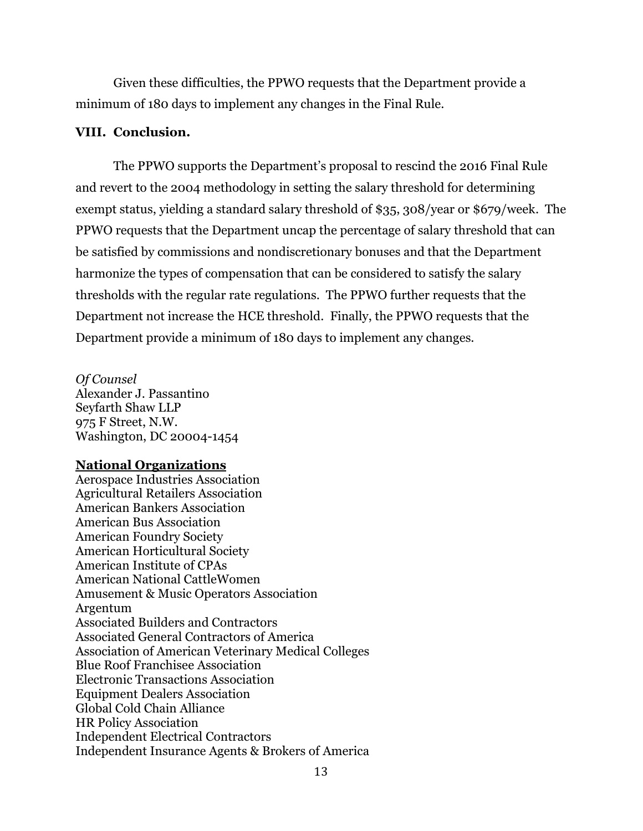Given these difficulties, the PPWO requests that the Department provide a minimum of 180 days to implement any changes in the Final Rule.

#### **VIII. Conclusion.**

The PPWO supports the Department's proposal to rescind the 2016 Final Rule and revert to the 2004 methodology in setting the salary threshold for determining exempt status, yielding a standard salary threshold of \$35, 308/year or \$679/week. The PPWO requests that the Department uncap the percentage of salary threshold that can be satisfied by commissions and nondiscretionary bonuses and that the Department harmonize the types of compensation that can be considered to satisfy the salary thresholds with the regular rate regulations. The PPWO further requests that the Department not increase the HCE threshold. Finally, the PPWO requests that the Department provide a minimum of 180 days to implement any changes.

*Of Counsel*  Alexander J. Passantino Seyfarth Shaw LLP 975 F Street, N.W. Washington, DC 20004-1454

#### **National Organizations**

Aerospace Industries Association Agricultural Retailers Association American Bankers Association American Bus Association American Foundry Society American Horticultural Society American Institute of CPAs American National CattleWomen Amusement & Music Operators Association Argentum Associated Builders and Contractors Associated General Contractors of America Association of American Veterinary Medical Colleges Blue Roof Franchisee Association Electronic Transactions Association Equipment Dealers Association Global Cold Chain Alliance HR Policy Association Independent Electrical Contractors Independent Insurance Agents & Brokers of America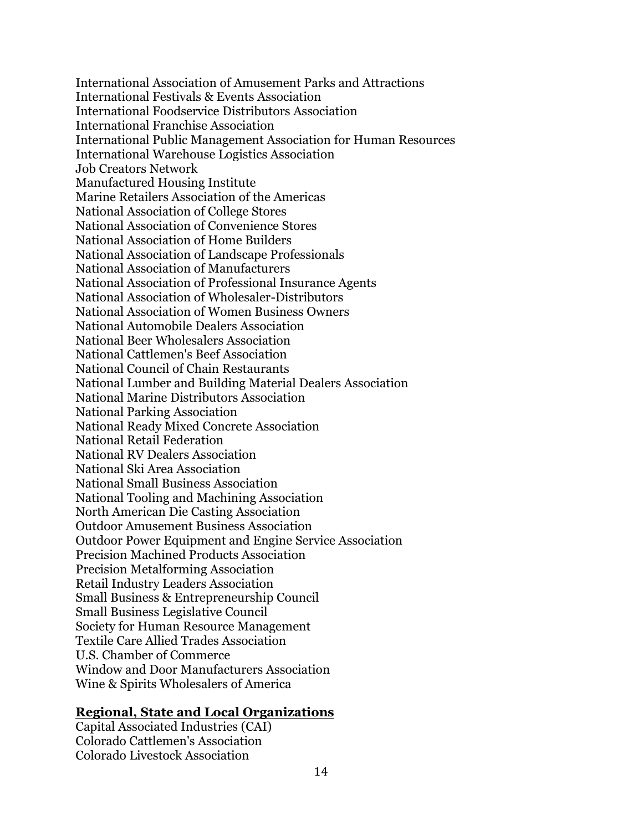International Association of Amusement Parks and Attractions International Festivals & Events Association International Foodservice Distributors Association International Franchise Association International Public Management Association for Human Resources International Warehouse Logistics Association Job Creators Network Manufactured Housing Institute Marine Retailers Association of the Americas National Association of College Stores National Association of Convenience Stores National Association of Home Builders National Association of Landscape Professionals National Association of Manufacturers National Association of Professional Insurance Agents National Association of Wholesaler-Distributors National Association of Women Business Owners National Automobile Dealers Association National Beer Wholesalers Association National Cattlemen's Beef Association National Council of Chain Restaurants National Lumber and Building Material Dealers Association National Marine Distributors Association National Parking Association National Ready Mixed Concrete Association National Retail Federation National RV Dealers Association National Ski Area Association National Small Business Association National Tooling and Machining Association North American Die Casting Association Outdoor Amusement Business Association Outdoor Power Equipment and Engine Service Association Precision Machined Products Association Precision Metalforming Association Retail Industry Leaders Association Small Business & Entrepreneurship Council Small Business Legislative Council Society for Human Resource Management Textile Care Allied Trades Association U.S. Chamber of Commerce Window and Door Manufacturers Association Wine & Spirits Wholesalers of America

#### **Regional, State and Local Organizations**

Capital Associated Industries (CAI) Colorado Cattlemen's Association Colorado Livestock Association